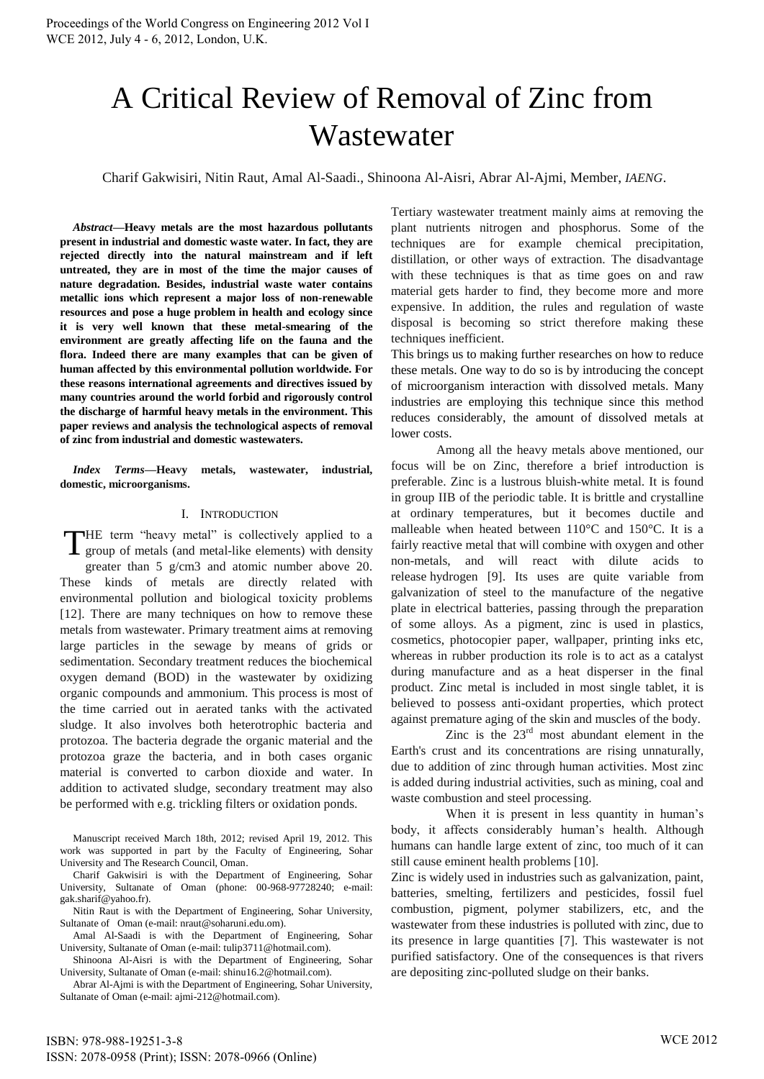# A Critical Review of Removal of Zinc from Wastewater

Charif Gakwisiri, Nitin Raut, Amal Al-Saadi., Shinoona Al-Aisri, Abrar Al-Ajmi, Member, *IAENG*.

*Abstract***—Heavy metals are the most hazardous pollutants present in industrial and domestic waste water. In fact, they are rejected directly into the natural mainstream and if left untreated, they are in most of the time the major causes of nature degradation. Besides, industrial waste water contains metallic ions which represent a major loss of non-renewable resources and pose a huge problem in health and ecology since it is very well known that these metal-smearing of the environment are greatly affecting life on the fauna and the flora. Indeed there are many examples that can be given of human affected by this environmental pollution worldwide. For these reasons international agreements and directives issued by many countries around the world forbid and rigorously control the discharge of harmful heavy metals in the environment. This paper reviews and analysis the technological aspects of removal of zinc from industrial and domestic wastewaters.** 

*Index Terms***—Heavy metals, wastewater, industrial, domestic, microorganisms.**

# I. INTRODUCTION

HE term "heavy metal" is collectively applied to a THE term "heavy metal" is collectively applied to a group of metals (and metal-like elements) with density greater than 5 g/cm3 and atomic number above 20. These kinds of metals are directly related with environmental pollution and biological toxicity problems [12]. There are many techniques on how to remove these metals from wastewater. Primary treatment aims at removing large particles in the sewage by means of grids or sedimentation. Secondary treatment reduces the biochemical oxygen demand (BOD) in the wastewater by oxidizing organic compounds and ammonium. This process is most of the time carried out in aerated tanks with the activated sludge. It also involves both heterotrophic bacteria and protozoa. The bacteria degrade the organic material and the protozoa graze the bacteria, and in both cases organic material is converted to carbon dioxide and water. In addition to activated sludge, secondary treatment may also be performed with e.g. trickling filters or oxidation ponds.

Manuscript received March 18th, 2012; revised April 19, 2012. This work was supported in part by the Faculty of Engineering, Sohar University and The Research Council, Oman.

Charif Gakwisiri is with the Department of Engineering, Sohar University, Sultanate of Oman (phone: 00-968-97728240; e-mail: [gak.sharif@yahoo.fr\)](mailto:gak.sharif@yahoo.fr).

Nitin Raut is with the Department of Engineering, Sohar University, Sultanate of Oman (e-mail[: nraut@soharuni.edu.om\)](mailto:nraut@soharuni.edu.om).

Amal Al-Saadi is with the Department of Engineering, Sohar University, Sultanate of Oman (e-mail[: tulip3711@hotmail.com\)](mailto:tulip3711@hotmail.com).

Shinoona Al-Aisri is with the Department of Engineering, Sohar University, Sultanate of Oman (e-mail[: shinu16.2@hotmail.com\)](mailto:shinu16.2@hotmail.com).

Abrar Al-Ajmi is with the Department of Engineering, Sohar University, Sultanate of Oman (e-mail[: ajmi-212@hotmail.com\)](mailto:ajmi-212@hotmail.com).

Tertiary wastewater treatment mainly aims at removing the plant nutrients nitrogen and phosphorus. Some of the techniques are for example chemical precipitation, distillation, or other ways of extraction. The disadvantage with these techniques is that as time goes on and raw material gets harder to find, they become more and more expensive. In addition, the rules and regulation of waste disposal is becoming so strict therefore making these techniques inefficient.

This brings us to making further researches on how to reduce these metals. One way to do so is by introducing the concept of microorganism interaction with dissolved metals. Many industries are employing this technique since this method reduces considerably, the amount of dissolved metals at lower costs.

Among all the heavy metals above mentioned, our focus will be on Zinc, therefore a brief introduction is preferable. Zinc is a lustrous bluish-white metal. It is found in group IIB of the [periodic table.](http://www.lenntech.com/periodic-chart.htm) It is brittle and crystalline at ordinary temperatures, but it becomes ductile and malleable when heated between 110°C and 150°C. It is a fairly reactive metal that will combine wit[h oxygen](http://www.lenntech.com/Periodic-chart-elements/O-en.htm) and other non-metals, and will react with dilute acids to release [hydrogen](http://www.lenntech.com/Periodic-chart-elements/H-en.htm) [9]. Its uses are quite variable from galvanization of steel to the manufacture of the negative plate in electrical batteries, passing through the preparation of some alloys. As a pigment, zinc is used in plastics, cosmetics, photocopier paper, wallpaper, printing inks etc, whereas in rubber production its role is to act as a catalyst during manufacture and as a heat disperser in the final product. Zinc metal is included in most single tablet, it is believed to possess anti-oxidant properties, which protect against premature aging of the skin and muscles of the body.

Zinc is the  $23<sup>rd</sup>$  most abundant element in the Earth's crust and its concentrations are rising unnaturally, due to addition of zinc through human activities. Most zinc is added during industrial activities, such as mining, coal and waste combustion and steel processing.

When it is present in less quantity in human's body, it affects considerably human's health. Although humans can handle large extent of zinc, too much of it can still cause eminent health problems [10].

Zinc is widely used in industries such as galvanization, paint, batteries, smelting, fertilizers and pesticides, fossil fuel combustion, pigment, polymer stabilizers, etc, and the wastewater from these industries is polluted with zinc, due to its presence in large quantities [7]. This wastewater is not purified satisfactory. One of the consequences is that rivers are depositing zinc-polluted sludge on their banks.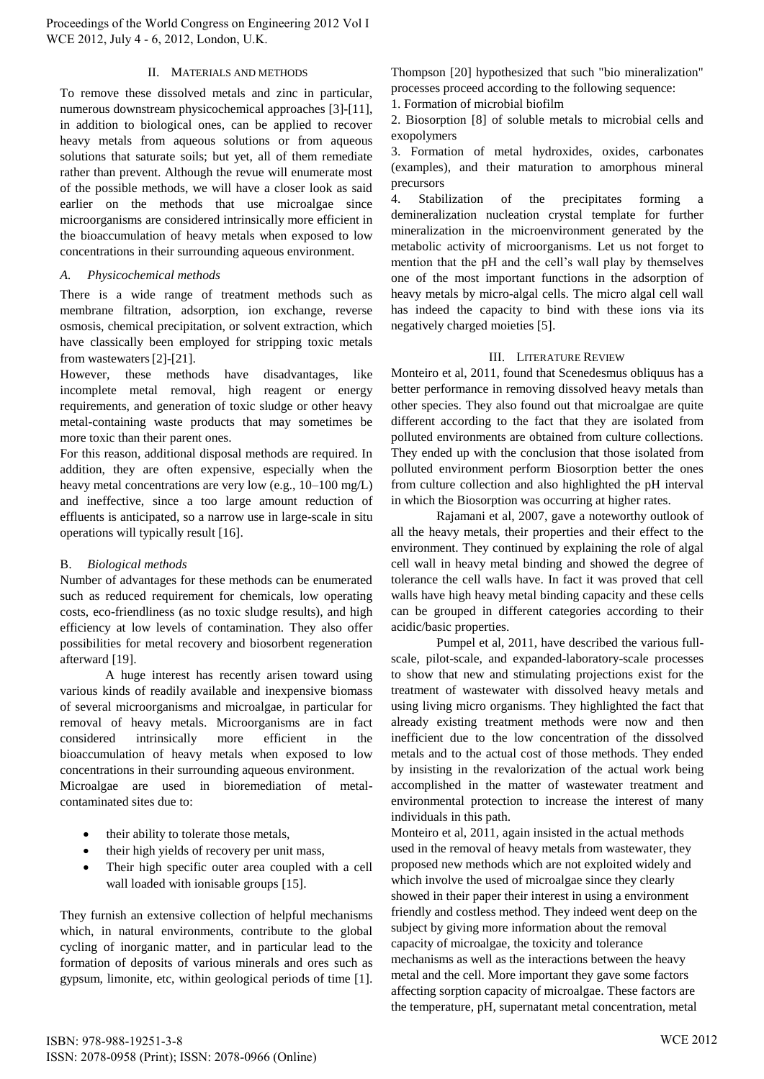Proceedings of the World Congress on Engineering 2012 Vol I WCE 2012, July 4 - 6, 2012, London, U.K.

### II. MATERIALS AND METHODS

To remove these dissolved metals and zinc in particular, numerous downstream physicochemical approaches [3]-[11], in addition to biological ones, can be applied to recover heavy metals from aqueous solutions or from aqueous solutions that saturate soils; but yet, all of them remediate rather than prevent. Although the revue will enumerate most of the possible methods, we will have a closer look as said earlier on the methods that use microalgae since microorganisms are considered intrinsically more efficient in the bioaccumulation of heavy metals when exposed to low concentrations in their surrounding aqueous environment.

#### *A. Physicochemical methods*

There is a wide range of treatment methods such as membrane filtration, adsorption, ion exchange, reverse osmosis, chemical precipitation, or solvent extraction, which have classically been employed for stripping toxic metals from wastewaters[2]-[21].

However, these methods have disadvantages, like incomplete metal removal, high reagent or energy requirements, and generation of toxic sludge or other heavy metal-containing waste products that may sometimes be more toxic than their parent ones.

For this reason, additional disposal methods are required. In addition, they are often expensive, especially when the heavy metal concentrations are very low (e.g., 10–100 mg/L) and ineffective, since a too large amount reduction of effluents is anticipated, so a narrow use in large-scale in situ operations will typically result [16].

# B. *Biological methods*

Number of advantages for these methods can be enumerated such as reduced requirement for chemicals, low operating costs, eco-friendliness (as no toxic sludge results), and high efficiency at low levels of contamination. They also offer possibilities for metal recovery and biosorbent regeneration afterward [19].

A huge interest has recently arisen toward using various kinds of readily available and inexpensive biomass of several microorganisms and microalgae, in particular for removal of heavy metals. Microorganisms are in fact considered intrinsically more efficient in the bioaccumulation of heavy metals when exposed to low concentrations in their surrounding aqueous environment.

Microalgae are used in bioremediation of metalcontaminated sites due to:

- their ability to tolerate those metals,
- their high yields of recovery per unit mass,
- Their high specific outer area coupled with a cell wall loaded with ionisable groups [15].

They furnish an extensive collection of helpful mechanisms which, in natural environments, contribute to the global cycling of inorganic matter, and in particular lead to the formation of deposits of various minerals and ores such as gypsum, limonite, etc, within geological periods of time [1]. Thompson [20] hypothesized that such "bio mineralization" processes proceed according to the following sequence:

1. Formation of microbial biofilm

2. Biosorption [8] of soluble metals to microbial cells and exopolymers

3. Formation of metal hydroxides, oxides, carbonates (examples), and their maturation to amorphous mineral precursors

4. Stabilization of the precipitates forming a demineralization nucleation crystal template for further mineralization in the microenvironment generated by the metabolic activity of microorganisms. Let us not forget to mention that the pH and the cell's wall play by themselves one of the most important functions in the adsorption of heavy metals by micro-algal cells. The micro algal cell wall has indeed the capacity to bind with these ions via its negatively charged moieties [5].

#### III. LITERATURE REVIEW

Monteiro et al, 2011, found that Scenedesmus obliquus has a better performance in removing dissolved heavy metals than other species. They also found out that microalgae are quite different according to the fact that they are isolated from polluted environments are obtained from culture collections. They ended up with the conclusion that those isolated from polluted environment perform Biosorption better the ones from culture collection and also highlighted the pH interval in which the Biosorption was occurring at higher rates.

Rajamani et al, 2007, gave a noteworthy outlook of all the heavy metals, their properties and their effect to the environment. They continued by explaining the role of algal cell wall in heavy metal binding and showed the degree of tolerance the cell walls have. In fact it was proved that cell walls have high heavy metal binding capacity and these cells can be grouped in different categories according to their acidic/basic properties.

Pumpel et al, 2011, have described the various fullscale, pilot-scale, and expanded-laboratory-scale processes to show that new and stimulating projections exist for the treatment of wastewater with dissolved heavy metals and using living micro organisms. They highlighted the fact that already existing treatment methods were now and then inefficient due to the low concentration of the dissolved metals and to the actual cost of those methods. They ended by insisting in the revalorization of the actual work being accomplished in the matter of wastewater treatment and environmental protection to increase the interest of many individuals in this path.

Monteiro et al, 2011, again insisted in the actual methods used in the removal of heavy metals from wastewater, they proposed new methods which are not exploited widely and which involve the used of microalgae since they clearly showed in their paper their interest in using a environment friendly and costless method. They indeed went deep on the subject by giving more information about the removal capacity of microalgae, the toxicity and tolerance mechanisms as well as the interactions between the heavy metal and the cell. More important they gave some factors affecting sorption capacity of microalgae. These factors are the temperature, pH, supernatant metal concentration, metal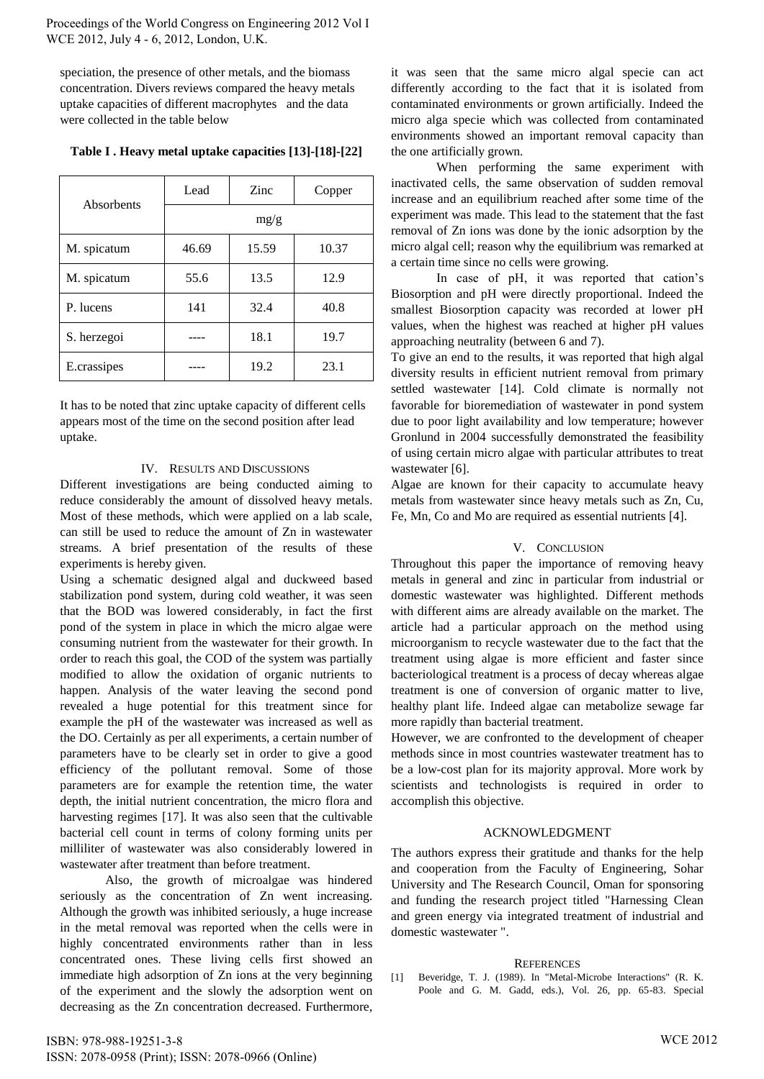speciation, the presence of other metals, and the biomass concentration. Divers reviews compared the heavy metals uptake capacities of different macrophytes and the data were collected in the table below

| Absorbents  | Lead  | Zinc  | Copper |
|-------------|-------|-------|--------|
|             | mg/g  |       |        |
| M. spicatum | 46.69 | 15.59 | 10.37  |
| M. spicatum | 55.6  | 13.5  | 12.9   |
| P. lucens   | 141   | 32.4  | 40.8   |
| S. herzegoi |       | 18.1  | 19.7   |
| E.crassipes |       | 19.2  | 23.1   |

**Table I . Heavy metal uptake capacities [13]-[18]-[22]** 

It has to be noted that zinc uptake capacity of different cells appears most of the time on the second position after lead uptake.

# IV. RESULTS AND DISCUSSIONS

Different investigations are being conducted aiming to reduce considerably the amount of dissolved heavy metals. Most of these methods, which were applied on a lab scale, can still be used to reduce the amount of Zn in wastewater streams. A brief presentation of the results of these experiments is hereby given.

Using a schematic designed algal and duckweed based stabilization pond system, during cold weather, it was seen that the BOD was lowered considerably, in fact the first pond of the system in place in which the micro algae were consuming nutrient from the wastewater for their growth. In order to reach this goal, the COD of the system was partially modified to allow the oxidation of organic nutrients to happen. Analysis of the water leaving the second pond revealed a huge potential for this treatment since for example the pH of the wastewater was increased as well as the DO. Certainly as per all experiments, a certain number of parameters have to be clearly set in order to give a good efficiency of the pollutant removal. Some of those parameters are for example the retention time, the water depth, the initial nutrient concentration, the micro flora and harvesting regimes [17]. It was also seen that the cultivable bacterial cell count in terms of colony forming units per milliliter of wastewater was also considerably lowered in wastewater after treatment than before treatment.

Also, the growth of microalgae was hindered seriously as the concentration of Zn went increasing. Although the growth was inhibited seriously, a huge increase in the metal removal was reported when the cells were in highly concentrated environments rather than in less concentrated ones. These living cells first showed an immediate high adsorption of Zn ions at the very beginning of the experiment and the slowly the adsorption went on decreasing as the Zn concentration decreased. Furthermore,

it was seen that the same micro algal specie can act differently according to the fact that it is isolated from contaminated environments or grown artificially. Indeed the micro alga specie which was collected from contaminated environments showed an important removal capacity than the one artificially grown.

When performing the same experiment with inactivated cells, the same observation of sudden removal increase and an equilibrium reached after some time of the experiment was made. This lead to the statement that the fast removal of Zn ions was done by the ionic adsorption by the micro algal cell; reason why the equilibrium was remarked at a certain time since no cells were growing.

In case of pH, it was reported that cation's Biosorption and pH were directly proportional. Indeed the smallest Biosorption capacity was recorded at lower pH values, when the highest was reached at higher pH values approaching neutrality (between 6 and 7).

To give an end to the results, it was reported that high algal diversity results in efficient nutrient removal from primary settled wastewater [14]. Cold climate is normally not favorable for bioremediation of wastewater in pond system due to poor light availability and low temperature; however Gronlund in 2004 successfully demonstrated the feasibility of using certain micro algae with particular attributes to treat wastewater [6].

Algae are known for their capacity to accumulate heavy metals from wastewater since heavy metals such as Zn, Cu, Fe, Mn, Co and Mo are required as essential nutrients [4].

# V. CONCLUSION

Throughout this paper the importance of removing heavy metals in general and zinc in particular from industrial or domestic wastewater was highlighted. Different methods with different aims are already available on the market. The article had a particular approach on the method using microorganism to recycle wastewater due to the fact that the treatment using algae is more efficient and faster since bacteriological treatment is a process of decay whereas algae treatment is one of conversion of organic matter to live, healthy plant life. Indeed algae can metabolize sewage far more rapidly than bacterial treatment.

However, we are confronted to the development of cheaper methods since in most countries wastewater treatment has to be a low-cost plan for its majority approval. More work by scientists and technologists is required in order to accomplish this objective.

# ACKNOWLEDGMENT

The authors express their gratitude and thanks for the help and cooperation from the Faculty of Engineering, Sohar University and The Research Council, Oman for sponsoring and funding the research project titled "Harnessing Clean and green energy via integrated treatment of industrial and domestic wastewater ".

#### **REFERENCES**

[1] Beveridge, T. J. (1989). In "Metal-Microbe Interactions" (R. K. Poole and G. M. Gadd, eds.), Vol. 26, pp. 65-83. Special